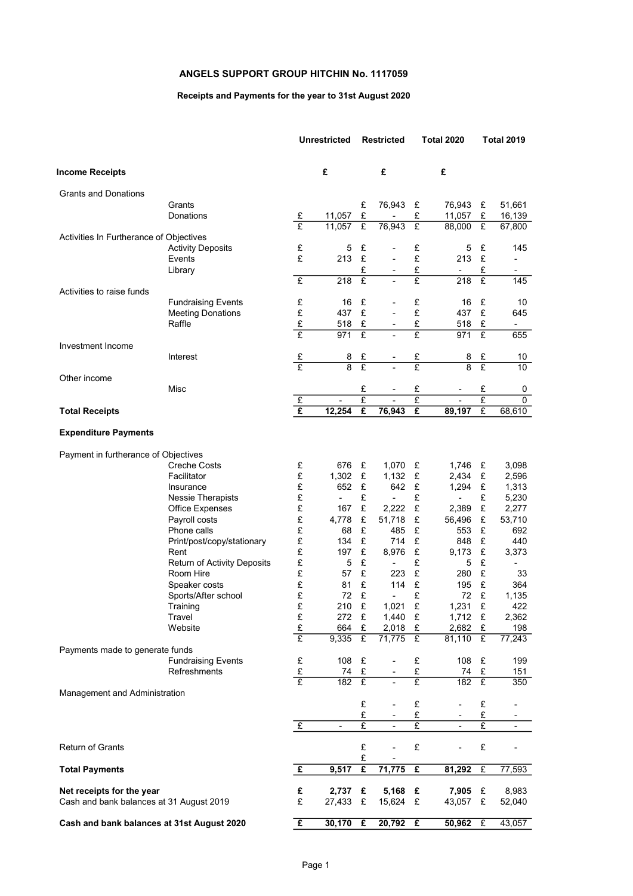# ANGELS SUPPORT GROUP HITCHIN No. 1117059

## Receipts and Payments for the year to 31st August 2020

|                                            |                                          |                         | <b>Unrestricted</b> | <b>Restricted</b>       |                          | <b>Total 2020</b>       |                |                     | Total 2019                      |
|--------------------------------------------|------------------------------------------|-------------------------|---------------------|-------------------------|--------------------------|-------------------------|----------------|---------------------|---------------------------------|
| <b>Income Receipts</b>                     |                                          |                         | £                   |                         | £                        |                         | £              |                     |                                 |
| Grants and Donations                       |                                          |                         |                     |                         |                          |                         |                |                     |                                 |
|                                            | Grants                                   |                         |                     | £                       | 76,943                   | £                       | 76,943         | £                   | 51,661                          |
|                                            | Donations                                | £                       | 11,057              | £                       |                          | £                       | 11,057         | £                   | 16,139                          |
|                                            |                                          | £                       | 11,057              | $\overline{f}$          | 76,943                   | £                       | 88,000         | £                   | 67,800                          |
| Activities In Furtherance of Objectives    |                                          | £                       |                     |                         |                          |                         |                |                     |                                 |
|                                            | <b>Activity Deposits</b><br>Events       | £                       | 5<br>213            | £<br>£                  | ÷,                       | £<br>£                  | 5<br>213       | £<br>£              | 145<br>$\overline{\phantom{0}}$ |
|                                            | Library                                  |                         |                     | £                       | ۰                        | £                       | $\blacksquare$ | £                   | ۰.                              |
|                                            |                                          | £                       | 218                 | $\overline{f}$          |                          | £                       | 218            | $\overline{f}$      | 145                             |
| Activities to raise funds                  |                                          |                         |                     |                         |                          |                         |                |                     |                                 |
|                                            | <b>Fundraising Events</b>                | £                       | 16                  | £                       |                          | £                       | 16             | £                   | 10                              |
|                                            | <b>Meeting Donations</b>                 | £                       | 437                 | £                       |                          | £                       | 437            | £                   | 645                             |
|                                            | Raffle                                   | £                       | 518                 | £                       |                          | £                       | 518            | £                   |                                 |
|                                            |                                          | £                       | 971                 | £                       |                          | £                       | 971            | £                   | 655                             |
| Investment Income                          |                                          |                         |                     |                         |                          |                         |                |                     |                                 |
|                                            | Interest                                 | £                       | 8                   | £                       |                          | £                       | 8              | £                   | 10                              |
|                                            |                                          | $\overline{f}$          | $\overline{8}$      | $\overline{\mathrm{f}}$ |                          | $\overline{\mathrm{f}}$ | $\overline{8}$ | £                   | $\overline{10}$                 |
| Other income                               |                                          |                         |                     |                         |                          |                         |                |                     |                                 |
|                                            | Misc                                     | $\overline{f}$          |                     | £<br>$\overline{E}$     |                          | £<br>£                  |                | £<br>$\overline{f}$ | 0<br>0                          |
| <b>Total Receipts</b>                      |                                          | $\overline{\mathbf{f}}$ | 12,254              | £                       | 76,943                   | £                       | 89,197         | $\overline{f}$      | 68,610                          |
|                                            |                                          |                         |                     |                         |                          |                         |                |                     |                                 |
| <b>Expenditure Payments</b>                |                                          |                         |                     |                         |                          |                         |                |                     |                                 |
| Payment in furtherance of Objectives       |                                          |                         |                     |                         |                          |                         |                |                     |                                 |
|                                            | <b>Creche Costs</b>                      | £                       | 676                 | £                       | 1,070                    | £                       | 1,746          | £                   | 3,098                           |
|                                            | Facilitator                              | £                       | 1,302               | £                       | 1,132                    | £                       | 2,434          | £                   | 2,596                           |
|                                            | Insurance                                | £                       | 652                 | £                       | 642                      | £                       | 1,294          | £                   | 1,313                           |
|                                            | <b>Nessie Therapists</b>                 | £                       |                     | £                       |                          | £                       | -              | £                   | 5,230                           |
|                                            | Office Expenses                          | £                       | 167                 | £                       | 2,222                    | £                       | 2,389          | £                   | 2,277                           |
|                                            | Payroll costs                            | £                       | 4,778               | £                       | 51,718                   | £                       | 56,496         | £                   | 53,710                          |
|                                            | Phone calls                              | £                       | 68                  | £                       | 485                      | £                       | 553            | £                   | 692                             |
|                                            | Print/post/copy/stationary               | £                       | 134                 | £                       | 714                      | £                       | 848            | £                   | 440                             |
|                                            | Rent                                     | £                       | 197                 | £                       | 8,976                    | £<br>£                  | 9,173          | £                   | 3,373                           |
|                                            | Return of Activity Deposits<br>Room Hire | £<br>£                  | 5<br>57             | £<br>£                  | $\blacksquare$<br>223    | £                       | 5<br>280       | £<br>£              | 33                              |
|                                            | Speaker costs                            | £                       | 81                  | £                       | 114                      | £                       | 195            | £                   | 364                             |
|                                            | Sports/After school                      | £                       | 72                  | £                       | $\overline{\phantom{0}}$ | £                       | 72             | £                   | 1,135                           |
|                                            | Training                                 | £                       | 210                 | £                       | 1,021                    | £                       | 1,231          | £                   | 422                             |
|                                            | Travel                                   | £                       | 272                 | £                       | 1,440                    | £                       | 1,712 £        |                     | 2,362                           |
|                                            | Website                                  | £                       | 664                 | £                       | 2,018                    | £                       | 2,682          | £                   | 198                             |
|                                            |                                          | £                       | 9,335               | £                       | 71,775                   | £                       | 81,110         | £                   | 77,243                          |
| Payments made to generate funds            |                                          |                         |                     |                         |                          |                         |                |                     |                                 |
|                                            | <b>Fundraising Events</b>                | £                       | 108                 | £                       |                          | £                       | 108            | £                   | 199                             |
|                                            | Refreshments                             | $rac{f}{f}$             | 74                  | £                       |                          | £                       | 74             | £                   | 151                             |
|                                            |                                          |                         | $\overline{182}$    | $\overline{f}$          |                          | £                       | 182            | $\overline{E}$      | 350                             |
| Management and Administration              |                                          |                         |                     |                         |                          |                         |                |                     |                                 |
|                                            |                                          |                         |                     | £<br>£                  |                          | £<br>£                  |                | £<br>£              |                                 |
|                                            |                                          | $\overline{f}$          |                     | $\overline{\mathrm{E}}$ |                          | $\overline{\mathrm{f}}$ |                | $\overline{f}$      |                                 |
|                                            |                                          |                         |                     |                         |                          |                         |                |                     |                                 |
| <b>Return of Grants</b>                    |                                          |                         |                     | £<br>£                  |                          | £                       |                | £                   |                                 |
| <b>Total Payments</b>                      |                                          | £                       | 9,517               | $\overline{\mathbf{f}}$ | 71,775                   | £                       | 81,292         | $\overline{f}$      | 77,593                          |
| Net receipts for the year                  |                                          | £                       | 2,737               | £                       | 5,168                    | £                       | 7,905          | £                   | 8,983                           |
| Cash and bank balances at 31 August 2019   |                                          | £                       | 27,433              | £                       | 15,624                   | £                       | 43,057         | £                   | 52,040                          |
|                                            |                                          |                         |                     |                         |                          |                         |                |                     |                                 |
| Cash and bank balances at 31st August 2020 |                                          | £                       | 30,170              | £                       | 20,792                   | £                       | 50,962         | £                   | 43,057                          |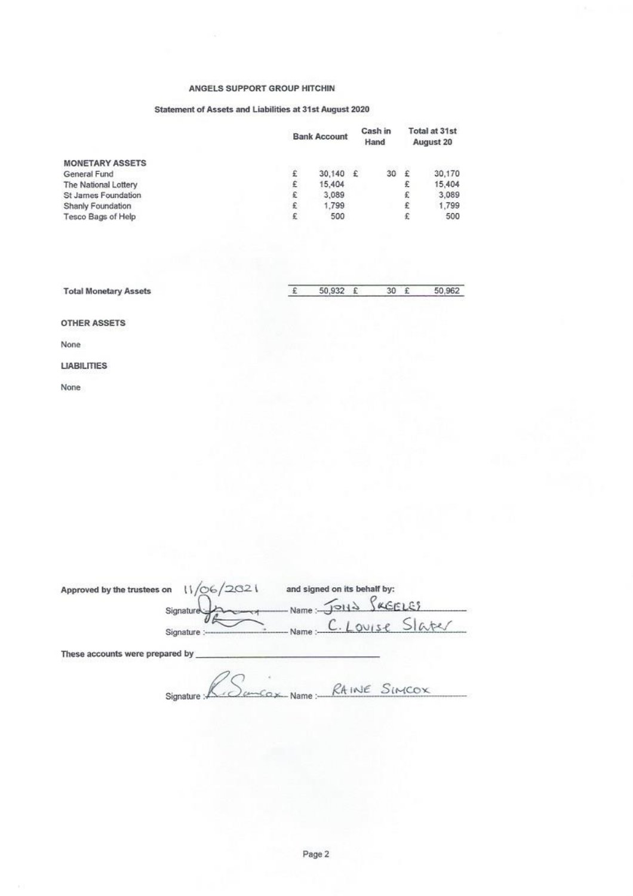### ANGELS SUPPORT GROUP HITCHIN

### Statement of Assets and Liabilities at 31st August 2020

|                        | <b>Bank Account</b> |        | Cash in<br>Hand |    | Total at 31st<br>August 20 |        |
|------------------------|---------------------|--------|-----------------|----|----------------------------|--------|
| <b>MONETARY ASSETS</b> |                     |        |                 |    |                            |        |
| General Fund           | £                   | 30,140 | $\mathcal{L}$   | 30 | £                          | 30,170 |
| The National Lottery   | £                   | 15,404 |                 |    | £                          | 15,404 |
| St James Foundation    | £                   | 3,089  |                 |    | £                          | 3,089  |
| Shanly Foundation      | £                   | 1.799  |                 |    | £                          | 1,799  |
| Tesco Bags of Help     | £                   | 500    |                 |    | £                          | 500    |

| <b>Total Monetary Assets</b> | 50,932 £ 30 £ |  | 50,962 |
|------------------------------|---------------|--|--------|
|                              |               |  |        |

**OTHER ASSETS** 

None

#### **LIABILITIES**

None

| Approved by the trustees on     | /06/2021<br>ت Signature | and signed on its behalf by:<br>Name: JOHN SKEELES |  |  |  |
|---------------------------------|-------------------------|----------------------------------------------------|--|--|--|
|                                 | Signature :--           | $C.$ Louise<br>Name :- $\mathsf{C}$ .              |  |  |  |
| These accounts were prepared by |                         |                                                    |  |  |  |
|                                 |                         | RAINE SIMCOX                                       |  |  |  |